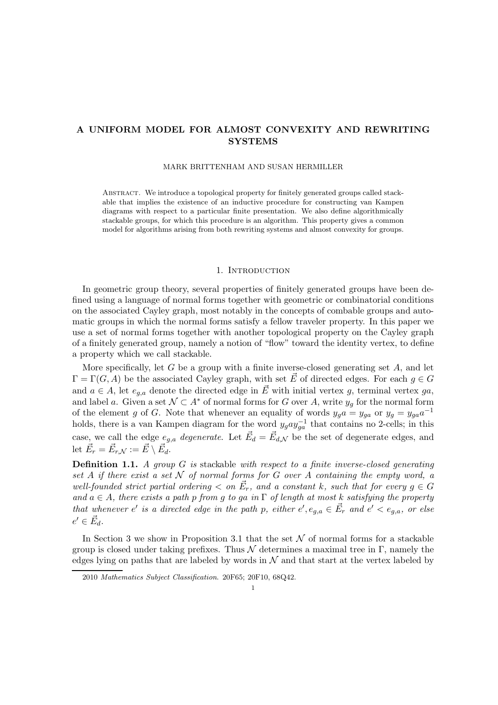# A UNIFORM MODEL FOR ALMOST CONVEXITY AND REWRITING **SYSTEMS**

### MARK BRITTENHAM AND SUSAN HERMILLER

Abstract. We introduce a topological property for finitely generated groups called stackable that implies the existence of an inductive procedure for constructing van Kampen diagrams with respect to a particular finite presentation. We also define algorithmically stackable groups, for which this procedure is an algorithm. This property gives a common model for algorithms arising from both rewriting systems and almost convexity for groups.

### 1. INTRODUCTION

In geometric group theory, several properties of finitely generated groups have been defined using a language of normal forms together with geometric or combinatorial conditions on the associated Cayley graph, most notably in the concepts of combable groups and automatic groups in which the normal forms satisfy a fellow traveler property. In this paper we use a set of normal forms together with another topological property on the Cayley graph of a finitely generated group, namely a notion of "flow" toward the identity vertex, to define a property which we call stackable.

More specifically, let G be a group with a finite inverse-closed generating set  $A$ , and let  $\Gamma = \Gamma(G, A)$  be the associated Cayley graph, with set  $\vec{E}$  of directed edges. For each  $g \in G$ and  $a \in A$ , let  $e_{a,a}$  denote the directed edge in  $\vec{E}$  with initial vertex g, terminal vertex ga, and label a. Given a set  $\mathcal{N} \subset A^*$  of normal forms for G over A, write  $y_q$  for the normal form of the element g of G. Note that whenever an equality of words  $y_g a = y_{ga}$  or  $y_g = y_{ga} a^{-1}$ holds, there is a van Kampen diagram for the word  $y_g a y_{ga}^{-1}$  that contains no 2-cells; in this case, we call the edge  $e_{g,a}$  *degenerate*. Let  $\vec{E}_d = \vec{E}_{d,\mathcal{N}}$  be the set of degenerate edges, and let  $\vec{E}_r = \vec{E}_{r,N} := \vec{E} \setminus \vec{E}_d.$ 

Definition 1.1. *A group* G *is* stackable *with respect to a finite inverse-closed generating set* A *if there exist a set* N *of normal forms for* G *over* A *containing the empty word, a well-founded strict partial ordering*  $\lt$  *on*  $\vec{E}_r$ *, and a constant k, such that for every*  $g \in G$ *and* a ∈ A*, there exists a path* p *from* g *to* ga *in* Γ *of length at most* k *satisfying the property that whenever*  $e'$  *is a directed edge in the path p, either*  $e'$ ,  $e_{g,a} \in \vec{E}_r$  *and*  $e' < e_{g,a}$ *, or else*  $e' \in \vec{E_d}$ .

In Section 3 we show in Proposition 3.1 that the set  $\mathcal N$  of normal forms for a stackable group is closed under taking prefixes. Thus  $\mathcal N$  determines a maximal tree in Γ, namely the edges lying on paths that are labeled by words in  $\mathcal N$  and that start at the vertex labeled by

<sup>2010</sup> Mathematics Subject Classification. 20F65; 20F10, 68Q42.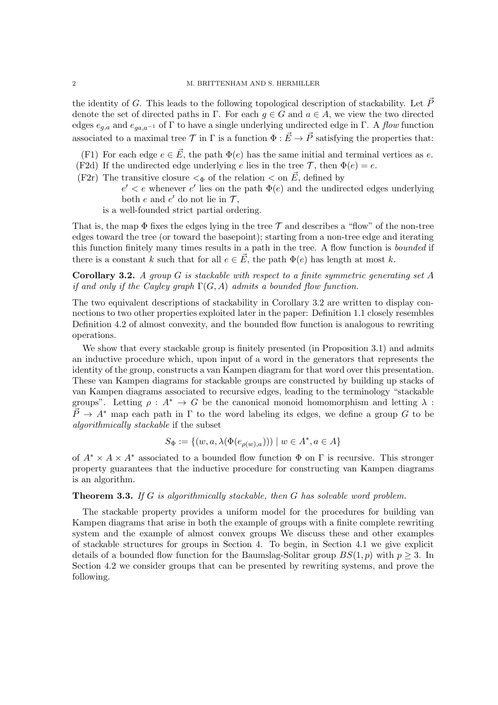the identity of G. This leads to the following topological description of stackability. Let  $\vec{P}$ denote the set of directed paths in Γ. For each  $g \in G$  and  $a \in A$ , we view the two directed edges  $e_{a,a}$  and  $e_{aa,a^{-1}}$  of  $\Gamma$  to have a single underlying undirected edge in  $\Gamma$ . A *flow* function associated to a maximal tree  $\mathcal T$  in  $\Gamma$  is a function  $\Phi : \vec{E} \to \vec{P}$  satisfying the properties that:

(F1) For each edge  $e \in \vec{E}$ , the path  $\Phi(e)$  has the same initial and terminal vertices as e. (F2d) If the undirected edge underlying e lies in the tree  $\mathcal{T}$ , then  $\Phi(e) = e$ .

- (F2r) The transitive closure  $\lt_{\Phi}$  of the relation  $\lt$  on  $\vec{E}$ , defined by
	- $e' < e$  whenever  $e'$  lies on the path  $\Phi(e)$  and the undirected edges underlying both e and e' do not lie in  $\mathcal{T},$
	- is a well-founded strict partial ordering.

That is, the map  $\Phi$  fixes the edges lying in the tree  $\mathcal T$  and describes a "flow" of the non-tree edges toward the tree (or toward the basepoint); starting from a non-tree edge and iterating this function finitely many times results in a path in the tree. A flow function is *bounded* if there is a constant k such that for all  $e \in \vec{E}$ , the path  $\Phi(e)$  has length at most k.

Corollary 3.2. *A group* G *is stackable with respect to a finite symmetric generating set* A *if and only if the Cayley graph* Γ(G, A) *admits a bounded flow function.*

The two equivalent descriptions of stackability in Corollary 3.2 are written to display connections to two other properties exploited later in the paper: Definition 1.1 closely resembles Definition 4.2 of almost convexity, and the bounded flow function is analogous to rewriting operations.

We show that every stackable group is finitely presented (in Proposition 3.1) and admits an inductive procedure which, upon input of a word in the generators that represents the identity of the group, constructs a van Kampen diagram for that word over this presentation. These van Kampen diagrams for stackable groups are constructed by building up stacks of van Kampen diagrams associated to recursive edges, leading to the terminology "stackable groups". Letting  $\rho : A^* \to G$  be the canonical monoid homomorphism and letting  $\lambda$ :  $\vec{P} \rightarrow A^*$  map each path in  $\Gamma$  to the word labeling its edges, we define a group G to be *algorithmically stackable* if the subset

$$
S_{\Phi} := \{ (w, a, \lambda(\Phi(e_{\rho(w),a}))) \mid w \in A^*, a \in A \}
$$

of  $A^* \times A \times A^*$  associated to a bounded flow function  $\Phi$  on  $\Gamma$  is recursive. This stronger property guarantees that the inductive procedure for constructing van Kampen diagrams is an algorithm.

#### Theorem 3.3. *If* G *is algorithmically stackable, then* G *has solvable word problem.*

The stackable property provides a uniform model for the procedures for building van Kampen diagrams that arise in both the example of groups with a finite complete rewriting system and the example of almost convex groups We discuss these and other examples of stackable structures for groups in Section 4. To begin, in Section 4.1 we give explicit details of a bounded flow function for the Baumslag-Solitar group  $BS(1, p)$  with  $p \geq 3$ . In Section 4.2 we consider groups that can be presented by rewriting systems, and prove the following.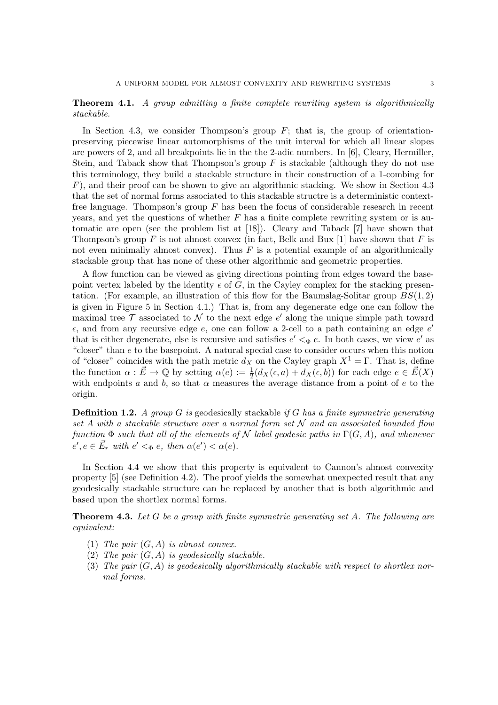## Theorem 4.1. *A group admitting a finite complete rewriting system is algorithmically stackable.*

In Section 4.3, we consider Thompson's group  $F$ ; that is, the group of orientationpreserving piecewise linear automorphisms of the unit interval for which all linear slopes are powers of 2, and all breakpoints lie in the the 2-adic numbers. In [6], Cleary, Hermiller, Stein, and Taback show that Thompson's group  $F$  is stackable (although they do not use this terminology, they build a stackable structure in their construction of a 1-combing for  $F$ ), and their proof can be shown to give an algorithmic stacking. We show in Section 4.3 that the set of normal forms associated to this stackable structre is a deterministic contextfree language. Thompson's group  $F$  has been the focus of considerable research in recent years, and yet the questions of whether  $F$  has a finite complete rewriting system or is automatic are open (see the problem list at [18]). Cleary and Taback [7] have shown that Thompson's group F is not almost convex (in fact, Belk and Bux [1] have shown that F is not even minimally almost convex). Thus  $F$  is a potential example of an algorithmically stackable group that has none of these other algorithmic and geometric properties.

A flow function can be viewed as giving directions pointing from edges toward the basepoint vertex labeled by the identity  $\epsilon$  of G, in the Cayley complex for the stacking presentation. (For example, an illustration of this flow for the Baumslag-Solitar group  $BS(1, 2)$ ) is given in Figure 5 in Section 4.1.) That is, from any degenerate edge one can follow the maximal tree  $\mathcal T$  associated to  $\mathcal N$  to the next edge  $e'$  along the unique simple path toward  $\epsilon$ , and from any recursive edge  $\epsilon$ , one can follow a 2-cell to a path containing an edge  $\epsilon'$ that is either degenerate, else is recursive and satisfies  $e' <_{\Phi} e$ . In both cases, we view  $e'$  as "closer" than e to the basepoint. A natural special case to consider occurs when this notion of "closer" coincides with the path metric  $d_X$  on the Cayley graph  $X^1 = \Gamma$ . That is, define the function  $\alpha : \vec{E} \to \mathbb{Q}$  by setting  $\alpha(e) := \frac{1}{2}(d_X(\epsilon, a) + d_X(\epsilon, b))$  for each edge  $e \in \vec{E}(X)$ with endpoints a and b, so that  $\alpha$  measures the average distance from a point of e to the origin.

Definition 1.2. *A group* G *is* geodesically stackable *if* G *has a finite symmetric generating set* A *with a stackable structure over a normal form set* N *and an associated bounded flow function*  $\Phi$  *such that all of the elements of*  $\mathcal N$  *label geodesic paths in*  $\Gamma(G, A)$ *, and whenever*  $e', e \in \vec{E}_r$  with  $e' <_{\Phi} e$ , then  $\alpha(e') < \alpha(e)$ .

In Section 4.4 we show that this property is equivalent to Cannon's almost convexity property [5] (see Definition 4.2). The proof yields the somewhat unexpected result that any geodesically stackable structure can be replaced by another that is both algorithmic and based upon the shortlex normal forms.

Theorem 4.3. *Let* G *be a group with finite symmetric generating set* A*. The following are equivalent:*

- (1) *The pair* (G, A) *is almost convex.*
- (2) *The pair* (G, A) *is geodesically stackable.*
- (3) *The pair* (G, A) *is geodesically algorithmically stackable with respect to shortlex normal forms.*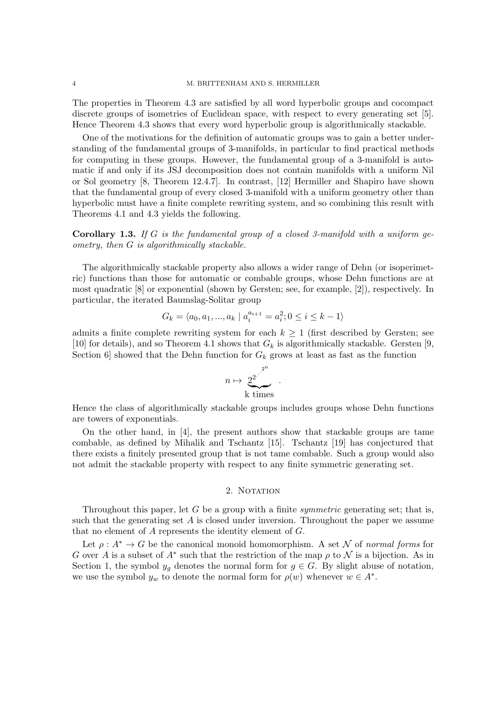#### 4 M. BRITTENHAM AND S. HERMILLER

The properties in Theorem 4.3 are satisfied by all word hyperbolic groups and cocompact discrete groups of isometries of Euclidean space, with respect to every generating set [5]. Hence Theorem 4.3 shows that every word hyperbolic group is algorithmically stackable.

One of the motivations for the definition of automatic groups was to gain a better understanding of the fundamental groups of 3-manifolds, in particular to find practical methods for computing in these groups. However, the fundamental group of a 3-manifold is automatic if and only if its JSJ decomposition does not contain manifolds with a uniform Nil or Sol geometry [8, Theorem 12.4.7]. In contrast, [12] Hermiller and Shapiro have shown that the fundamental group of every closed 3-manifold with a uniform geometry other than hyperbolic must have a finite complete rewriting system, and so combining this result with Theorems 4.1 and 4.3 yields the following.

Corollary 1.3. *If* G *is the fundamental group of a closed 3-manifold with a uniform geometry, then* G *is algorithmically stackable.*

The algorithmically stackable property also allows a wider range of Dehn (or isoperimetric) functions than those for automatic or combable groups, whose Dehn functions are at most quadratic [8] or exponential (shown by Gersten; see, for example, [2]), respectively. In particular, the iterated Baumslag-Solitar group

$$
G_k = \langle a_0, a_1, ..., a_k \mid a_i^{a_{i+1}} = a_i^2; 0 \le i \le k - 1 \rangle
$$

admits a finite complete rewriting system for each  $k \geq 1$  (first described by Gersten; see [10] for details), and so Theorem 4.1 shows that  $G_k$  is algorithmically stackable. Gersten [9, Section 6 showed that the Dehn function for  $G_k$  grows at least as fast as the function

$$
n \mapsto \underbrace{2^2}_{\text{k times}}^{2^n} \; .
$$

Hence the class of algorithmically stackable groups includes groups whose Dehn functions are towers of exponentials.

On the other hand, in [4], the present authors show that stackable groups are tame combable, as defined by Mihalik and Tschantz [15]. Tschantz [19] has conjectured that there exists a finitely presented group that is not tame combable. Such a group would also not admit the stackable property with respect to any finite symmetric generating set.

## 2. NOTATION

Throughout this paper, let G be a group with a finite *symmetric* generating set; that is, such that the generating set  $A$  is closed under inversion. Throughout the paper we assume that no element of A represents the identity element of G.

Let  $\rho: A^* \to G$  be the canonical monoid homomorphism. A set N of *normal forms* for G over A is a subset of  $A^*$  such that the restriction of the map  $\rho$  to  $\mathcal N$  is a bijection. As in Section 1, the symbol  $y_q$  denotes the normal form for  $g \in G$ . By slight abuse of notation, we use the symbol  $y_w$  to denote the normal form for  $\rho(w)$  whenever  $w \in A^*$ .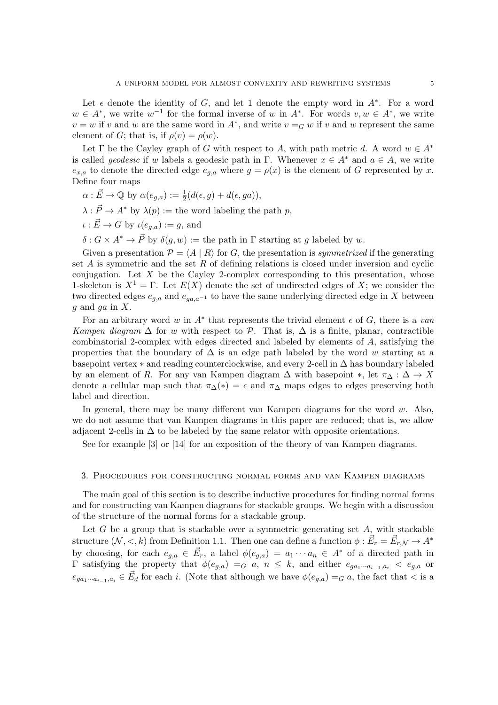Let  $\epsilon$  denote the identity of G, and let 1 denote the empty word in  $A^*$ . For a word  $w \in A^*$ , we write  $w^{-1}$  for the formal inverse of w in  $A^*$ . For words  $v, w \in A^*$ , we write  $v = w$  if v and w are the same word in  $A^*$ , and write  $v = G w$  if v and w represent the same element of G; that is, if  $\rho(v) = \rho(w)$ .

Let  $\Gamma$  be the Cayley graph of G with respect to A, with path metric d. A word  $w \in A^*$ is called *geodesic* if w labels a geodesic path in Γ. Whenever  $x \in A^*$  and  $a \in A$ , we write  $e_{x,a}$  to denote the directed edge  $e_{g,a}$  where  $g = \rho(x)$  is the element of G represented by x. Define four maps

- $\alpha : \vec{E} \to \mathbb{Q}$  by  $\alpha(e_{g,a}) := \frac{1}{2}(d(\epsilon, g) + d(\epsilon, ga)),$
- $\lambda : \vec{P} \to A^*$  by  $\lambda(p) :=$  the word labeling the path p,
- $\iota : \vec{E} \to G$  by  $\iota(e_{g,g}) := g$ , and

 $\delta: G \times A^* \to \vec{P}$  by  $\delta(g, w) :=$  the path in  $\Gamma$  starting at g labeled by w.

Given a presentation  $\mathcal{P} = \langle A | R \rangle$  for G, the presentation is *symmetrized* if the generating set  $A$  is symmetric and the set  $R$  of defining relations is closed under inversion and cyclic conjugation. Let  $X$  be the Cayley 2-complex corresponding to this presentation, whose 1-skeleton is  $X^1 = \Gamma$ . Let  $E(X)$  denote the set of undirected edges of X; we consider the two directed edges  $e_{g,a}$  and  $e_{ga,a^{-1}}$  to have the same underlying directed edge in X between q and q in  $X$ .

For an arbitrary word w in  $A^*$  that represents the trivial element  $\epsilon$  of  $G$ , there is a van *Kampen diagram*  $\Delta$  for w with respect to P. That is,  $\Delta$  is a finite, planar, contractible combinatorial 2-complex with edges directed and labeled by elements of  $A$ , satisfying the properties that the boundary of  $\Delta$  is an edge path labeled by the word w starting at a basepoint vertex ∗ and reading counterclockwise, and every 2-cell in ∆ has boundary labeled by an element of R. For any van Kampen diagram  $\Delta$  with basepoint  $\ast$ , let  $\pi_{\Delta} : \Delta \to X$ denote a cellular map such that  $\pi_{\Delta}(*) = \epsilon$  and  $\pi_{\Delta}$  maps edges to edges preserving both label and direction.

In general, there may be many different van Kampen diagrams for the word  $w$ . Also, we do not assume that van Kampen diagrams in this paper are reduced; that is, we allow adjacent 2-cells in  $\Delta$  to be labeled by the same relator with opposite orientations.

See for example [3] or [14] for an exposition of the theory of van Kampen diagrams.

#### 3. Procedures for constructing normal forms and van Kampen diagrams

The main goal of this section is to describe inductive procedures for finding normal forms and for constructing van Kampen diagrams for stackable groups. We begin with a discussion of the structure of the normal forms for a stackable group.

Let  $G$  be a group that is stackable over a symmetric generating set  $A$ , with stackable structure  $(\mathcal{N}, <, k)$  from Definition 1.1. Then one can define a function  $\phi : \vec{E}_r = \vec{E}_{r,\mathcal{N}} \to A^*$ by choosing, for each  $e_{g,a} \in \vec{E}_r$ , a label  $\phi(e_{g,a}) = a_1 \cdots a_n \in A^*$  of a directed path in  $\Gamma$  satisfying the property that  $\phi(e_{g,a}) =_G a, n \leq k$ , and either  $e_{ga_1\cdots a_{i-1},a_i} < e_{g,a}$  or  $e_{ga_1\cdots a_{i-1},a_i} \in \vec{E}_d$  for each i. (Note that although we have  $\phi(e_{g,a}) =_G a$ , the fact that  $\lt$  is a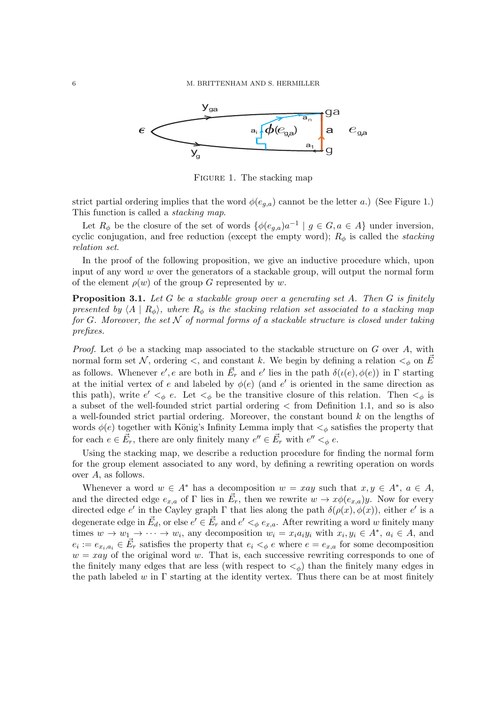

FIGURE 1. The stacking map

strict partial ordering implies that the word  $\phi(e_{q,a})$  cannot be the letter a.) (See Figure 1.) This function is called a *stacking map*.

Let  $R_{\phi}$  be the closure of the set of words  $\{\phi(e_{g,a})a^{-1} \mid g \in G, a \in A\}$  under inversion, cyclic conjugation, and free reduction (except the empty word);  $R_{\phi}$  is called the *stacking relation set*.

In the proof of the following proposition, we give an inductive procedure which, upon input of any word  $w$  over the generators of a stackable group, will output the normal form of the element  $\rho(w)$  of the group G represented by w.

Proposition 3.1. *Let* G *be a stackable group over a generating set* A*. Then* G *is finitely presented by*  $\langle A | R_{\phi} \rangle$ *, where*  $R_{\phi}$  *is the stacking relation set associated to a stacking map for* G*. Moreover, the set* N *of normal forms of a stackable structure is closed under taking prefixes.*

*Proof.* Let  $\phi$  be a stacking map associated to the stackable structure on G over A, with normal form set N, ordering  $\lt$ , and constant k. We begin by defining a relation  $\lt_{\phi}$  on  $\vec{E}$ as follows. Whenever  $e', e$  are both in  $\vec{E}_r$  and  $e'$  lies in the path  $\delta(\iota(e), \phi(e))$  in  $\Gamma$  starting at the initial vertex of e and labeled by  $\phi(e)$  (and e' is oriented in the same direction as this path), write  $e' <_{\phi} e$ . Let  $<_{\phi}$  be the transitive closure of this relation. Then  $<_{\phi}$  is a subset of the well-founded strict partial ordering < from Definition 1.1, and so is also a well-founded strict partial ordering. Moreover, the constant bound k on the lengths of words  $\phi(e)$  together with König's Infinity Lemma imply that  $\lt_{\phi}$  satisfies the property that for each  $e \in \vec{E}_r$ , there are only finitely many  $e'' \in \vec{E}_r$  with  $e'' <_{\phi} e$ .

Using the stacking map, we describe a reduction procedure for finding the normal form for the group element associated to any word, by defining a rewriting operation on words over A, as follows.

Whenever a word  $w \in A^*$  has a decomposition  $w = xay$  such that  $x, y \in A^*$ ,  $a \in A$ , and the directed edge  $e_{x,a}$  of  $\Gamma$  lies in  $\vec{E}_r$ , then we rewrite  $w \to x\phi(e_{x,a})y$ . Now for every directed edge e' in the Cayley graph  $\Gamma$  that lies along the path  $\delta(\rho(x), \phi(x))$ , either e' is a degenerate edge in  $\vec{E}_d$ , or else  $e' \in \vec{E}_r$  and  $e' <_\phi e_{x,a}$ . After rewriting a word w finitely many times  $w \to w_1 \to \cdots \to w_i$ , any decomposition  $w_i = x_i a_i y_i$  with  $x_i, y_i \in A^*$ ,  $a_i \in A$ , and  $e_i := e_{x_i, a_i} \in \vec{E}_r$  satisfies the property that  $e_i \lt_{\phi} e$  where  $e = e_{x,a}$  for some decomposition  $w = xay$  of the original word w. That is, each successive rewriting corresponds to one of the finitely many edges that are less (with respect to  $\lt_{\phi}$ ) than the finitely many edges in the path labeled w in  $\Gamma$  starting at the identity vertex. Thus there can be at most finitely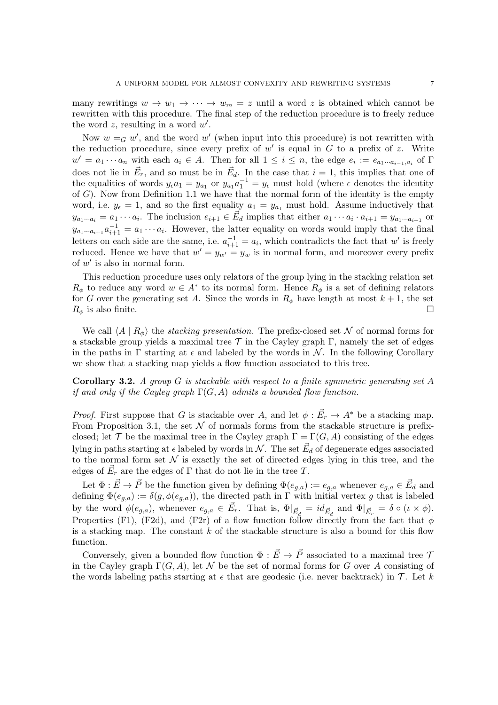many rewritings  $w \to w_1 \to \cdots \to w_m = z$  until a word z is obtained which cannot be rewritten with this procedure. The final step of the reduction procedure is to freely reduce the word  $z$ , resulting in a word  $w'$ .

Now  $w = G w'$ , and the word  $w'$  (when input into this procedure) is not rewritten with the reduction procedure, since every prefix of  $w'$  is equal in  $G$  to a prefix of  $z$ . Write  $w' = a_1 \cdots a_n$  with each  $a_i \in A$ . Then for all  $1 \leq i \leq n$ , the edge  $e_i := e_{a_1 \cdots a_{i-1}, a_i}$  of  $\Gamma$ does not lie in  $\vec{E}_r$ , and so must be in  $\vec{E}_d$ . In the case that  $i = 1$ , this implies that one of the equalities of words  $y_{\epsilon}a_1 = y_{a_1}$  or  $y_{a_1}a_1^{-1} = y_{\epsilon}$  must hold (where  $\epsilon$  denotes the identity of  $G$ ). Now from Definition 1.1 we have that the normal form of the identity is the empty word, i.e.  $y_{\epsilon} = 1$ , and so the first equality  $a_1 = y_{a_1}$  must hold. Assume inductively that  $y_{a_1\cdots a_i} = a_1 \cdots a_i$ . The inclusion  $e_{i+1} \in \vec{E}_d$  implies that either  $a_1 \cdots a_i \cdot a_{i+1} = y_{a_1\cdots a_{i+1}}$  or  $y_{a_1\cdots a_{i+1}}a_{i+1}^{-1} = a_1 \cdots a_i$ . However, the latter equality on words would imply that the final letters on each side are the same, i.e.  $a_{i+1}^{-1} = a_i$ , which contradicts the fact that w' is freely reduced. Hence we have that  $w' = y_{w'} = y_w$  is in normal form, and moreover every prefix of  $w'$  is also in normal form.

This reduction procedure uses only relators of the group lying in the stacking relation set  $R_{\phi}$  to reduce any word  $w \in A^*$  to its normal form. Hence  $R_{\phi}$  is a set of defining relators for G over the generating set A. Since the words in  $R_{\phi}$  have length at most  $k + 1$ , the set  $R_{\phi}$  is also finite.

We call  $\langle A | R_{\phi} \rangle$  the *stacking presentation*. The prefix-closed set N of normal forms for a stackable group yields a maximal tree  $\mathcal T$  in the Cayley graph  $\Gamma$ , namely the set of edges in the paths in Γ starting at  $\epsilon$  and labeled by the words in N. In the following Corollary we show that a stacking map yields a flow function associated to this tree.

Corollary 3.2. *A group* G *is stackable with respect to a finite symmetric generating set* A *if and only if the Cayley graph* Γ(G, A) *admits a bounded flow function.*

*Proof.* First suppose that G is stackable over A, and let  $\phi : \vec{E}_r \to A^*$  be a stacking map. From Proposition 3.1, the set  $\mathcal N$  of normals forms from the stackable structure is prefixclosed; let T be the maximal tree in the Cayley graph  $\Gamma = \Gamma(G, A)$  consisting of the edges lying in paths starting at  $\epsilon$  labeled by words in  $\mathcal{N}$ . The set  $\vec{E}_d$  of degenerate edges associated to the normal form set  $\mathcal N$  is exactly the set of directed edges lying in this tree, and the edges of  $\vec{E}_r$  are the edges of  $\Gamma$  that do not lie in the tree T.

Let  $\Phi: \vec{E} \to \vec{P}$  be the function given by defining  $\Phi(e_{g,a}) := e_{g,a}$  whenever  $e_{g,a} \in \vec{E}_d$  and defining  $\Phi(e_{g,a}) := \delta(g, \phi(e_{g,a}))$ , the directed path in Γ with initial vertex g that is labeled by the word  $\phi(e_{g,a})$ , whenever  $e_{g,a} \in \vec{E}_r$ . That is,  $\Phi|_{\vec{E}_d} = id_{\vec{E}_d}$  and  $\Phi|_{\vec{E}_r} = \delta \circ (\iota \times \phi)$ . Properties (F1), (F2d), and (F2r) of a flow function follow directly from the fact that  $\phi$ is a stacking map. The constant  $k$  of the stackable structure is also a bound for this flow function.

Conversely, given a bounded flow function  $\Phi : \vec{E} \to \vec{P}$  associated to a maximal tree  $\mathcal T$ in the Cayley graph  $\Gamma(G, A)$ , let N be the set of normal forms for G over A consisting of the words labeling paths starting at  $\epsilon$  that are geodesic (i.e. never backtrack) in  $\mathcal{T}$ . Let k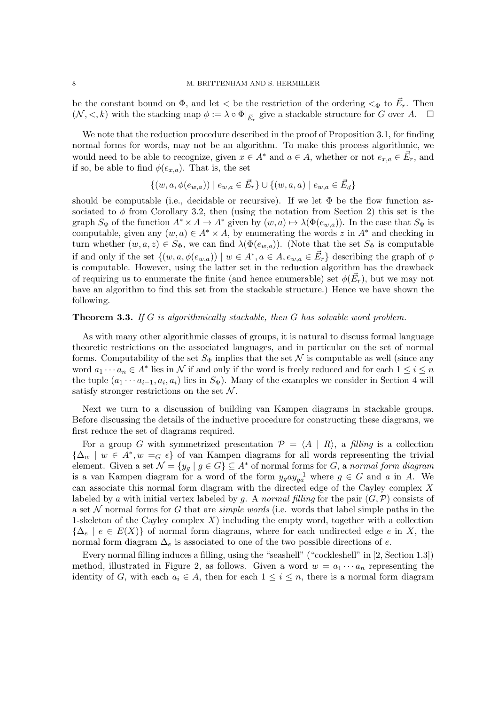be the constant bound on  $\Phi$ , and let  $\lt$  be the restriction of the ordering  $\lt_{\Phi}$  to  $\vec{E}_r$ . Then  $(\mathcal{N}, <, k)$  with the stacking map  $\phi := \lambda \circ \Phi|_{\vec{E}_r}$  give a stackable structure for G over A.  $\Box$ 

We note that the reduction procedure described in the proof of Proposition 3.1, for finding normal forms for words, may not be an algorithm. To make this process algorithmic, we would need to be able to recognize, given  $x \in A^*$  and  $a \in A$ , whether or not  $e_{x,a} \in \vec{E}_r$ , and if so, be able to find  $\phi(e_{x,a})$ . That is, the set

$$
\{(w, a, \phi(e_{w,a})) \mid e_{w,a} \in \vec{E}_r\} \cup \{(w, a, a) \mid e_{w,a} \in \vec{E}_d\}
$$

should be computable (i.e., decidable or recursive). If we let  $\Phi$  be the flow function associated to  $\phi$  from Corollary 3.2, then (using the notation from Section 2) this set is the graph  $S_{\Phi}$  of the function  $A^* \times A \to A^*$  given by  $(w, a) \mapsto \lambda(\Phi(e_{w,a}))$ . In the case that  $S_{\Phi}$  is computable, given any  $(w, a) \in A^* \times A$ , by enumerating the words z in  $A^*$  and checking in turn whether  $(w, a, z) \in S_{\Phi}$ , we can find  $\lambda(\Phi(e_{w,a}))$ . (Note that the set  $S_{\Phi}$  is computable if and only if the set  $\{(w, a, \phi(e_{w,a})) \mid w \in A^*, a \in A, e_{w,a} \in \vec{E}_r\}$  describing the graph of  $\phi$ is computable. However, using the latter set in the reduction algorithm has the drawback of requiring us to enumerate the finite (and hence enumerable) set  $\phi(\vec{E_r})$ , but we may not have an algorithm to find this set from the stackable structure.) Hence we have shown the following.

## Theorem 3.3. *If* G *is algorithmically stackable, then* G *has solvable word problem.*

As with many other algorithmic classes of groups, it is natural to discuss formal language theoretic restrictions on the associated languages, and in particular on the set of normal forms. Computability of the set  $S_{\Phi}$  implies that the set N is computable as well (since any word  $a_1 \cdots a_n \in A^*$  lies in N if and only if the word is freely reduced and for each  $1 \leq i \leq n$ the tuple  $(a_1 \cdots a_{i-1}, a_i, a_i)$  lies in  $S_{\Phi}$ ). Many of the examples we consider in Section 4 will satisfy stronger restrictions on the set  $N$ .

Next we turn to a discussion of building van Kampen diagrams in stackable groups. Before discussing the details of the inductive procedure for constructing these diagrams, we first reduce the set of diagrams required.

For a group G with symmetrized presentation  $\mathcal{P} = \{A \mid R\}$ , a *filling* is a collection  $\{\Delta_w \mid w \in A^*, w =_G \epsilon\}$  of van Kampen diagrams for all words representing the trivial element. Given a set  $\mathcal{N} = \{y_g \mid g \in G\} \subseteq A^*$  of normal forms for G, a *normal form diagram* is a van Kampen diagram for a word of the form  $y_g a y_{ga}^{-1}$  where  $g \in G$  and a in A. We can associate this normal form diagram with the directed edge of the Cayley complex X labeled by a with initial vertex labeled by g. A *normal filling* for the pair  $(G, \mathcal{P})$  consists of a set N normal forms for G that are *simple words* (i.e. words that label simple paths in the 1-skeleton of the Cayley complex  $X$ ) including the empty word, together with a collection  ${\{\Delta_{e}\mid e\in E(X)\}}$  of normal form diagrams, where for each undirected edge e in X, the normal form diagram  $\Delta_e$  is associated to one of the two possible directions of e.

Every normal filling induces a filling, using the "seashell" ("cockleshell" in [2, Section 1.3]) method, illustrated in Figure 2, as follows. Given a word  $w = a_1 \cdots a_n$  representing the identity of G, with each  $a_i \in A$ , then for each  $1 \leq i \leq n$ , there is a normal form diagram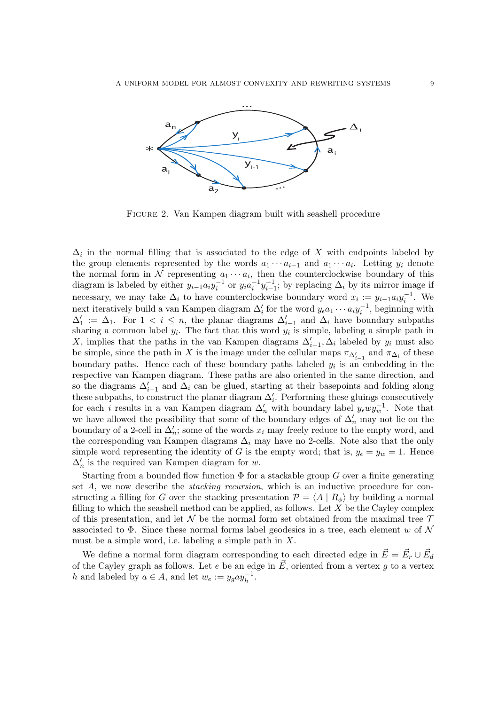

Figure 2. Van Kampen diagram built with seashell procedure

 $\Delta_i$  in the normal filling that is associated to the edge of X with endpoints labeled by the group elements represented by the words  $a_1 \cdots a_{i-1}$  and  $a_1 \cdots a_i$ . Letting  $y_i$  denote the normal form in N representing  $a_1 \cdots a_i$ , then the counterclockwise boundary of this diagram is labeled by either  $y_{i-1}a_iy_i^{-1}$  or  $y_ia_i^{-1}y_{i-1}^{-1}$ ; by replacing  $\Delta_i$  by its mirror image if necessary, we may take  $\Delta_i$  to have counterclockwise boundary word  $x_i := y_{i-1} a_i y_i^{-1}$ . We next iteratively build a van Kampen diagram  $\Delta'_i$  for the word  $y_{\epsilon}a_1 \cdots a_i y_i^{-1}$ , beginning with  $\Delta'_1 := \Delta_1$ . For  $1 < i \leq n$ , the planar diagrams  $\Delta'_{i-1}$  and  $\Delta_i$  have boundary subpaths sharing a common label  $y_i$ . The fact that this word  $y_i$  is simple, labeling a simple path in X, implies that the paths in the van Kampen diagrams  $\Delta'_{i-1}, \Delta_i$  labeled by  $y_i$  must also be simple, since the path in X is the image under the cellular maps  $\pi_{\Delta'_{i-1}}$  and  $\pi_{\Delta_i}$  of these boundary paths. Hence each of these boundary paths labeled  $y_i$  is an embedding in the respective van Kampen diagram. These paths are also oriented in the same direction, and so the diagrams  $\Delta'_{i-1}$  and  $\Delta_i$  can be glued, starting at their basepoints and folding along these subpaths, to construct the planar diagram  $\Delta'_{i}$ . Performing these gluings consecutively for each *i* results in a van Kampen diagram  $\Delta'_n$  with boundary label  $y_{\epsilon}wy_w^{-1}$ . Note that we have allowed the possibility that some of the boundary edges of  $\Delta'_{n}$  may not lie on the boundary of a 2-cell in  $\Delta'_n$ ; some of the words  $x_i$  may freely reduce to the empty word, and the corresponding van Kampen diagrams  $\Delta_i$  may have no 2-cells. Note also that the only simple word representing the identity of G is the empty word; that is,  $y_{\epsilon} = y_w = 1$ . Hence  $\Delta'_{n}$  is the required van Kampen diagram for w.

Starting from a bounded flow function  $\Phi$  for a stackable group G over a finite generating set A, we now describe the *stacking recursion*, which is an inductive procedure for constructing a filling for G over the stacking presentation  $\mathcal{P} = \langle A | R_{\phi} \rangle$  by building a normal filling to which the seashell method can be applied, as follows. Let  $X$  be the Cayley complex of this presentation, and let N be the normal form set obtained from the maximal tree  $\mathcal T$ associated to  $\Phi$ . Since these normal forms label geodesics in a tree, each element w of  $\mathcal N$ must be a simple word, i.e. labeling a simple path in  $X$ .

We define a normal form diagram corresponding to each directed edge in  $\vec{E} = \vec{E_r} \cup \vec{E_d}$ of the Cayley graph as follows. Let e be an edge in  $\vec{E}$ , oriented from a vertex g to a vertex h and labeled by  $a \in A$ , and let  $w_e := y_g a y_h^{-1}$ .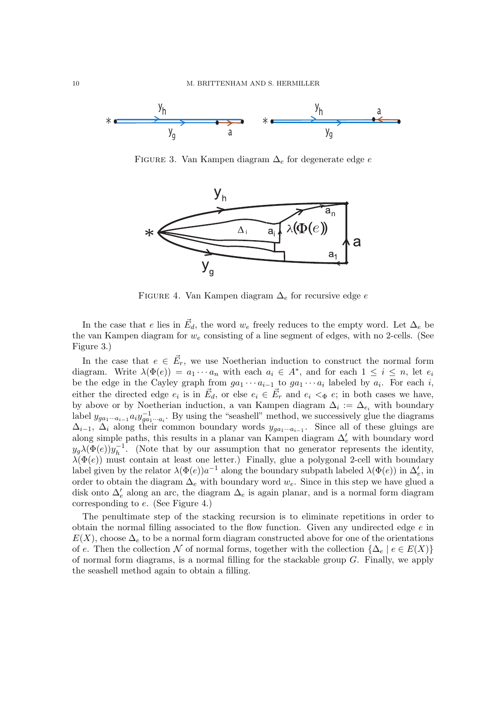

FIGURE 3. Van Kampen diagram  $\Delta_e$  for degenerate edge  $e$ 



FIGURE 4. Van Kampen diagram  $\Delta_e$  for recursive edge e

In the case that e lies in  $\vec{E}_d$ , the word  $w_e$  freely reduces to the empty word. Let  $\Delta_e$  be the van Kampen diagram for  $w_e$  consisting of a line segment of edges, with no 2-cells. (See Figure 3.)

In the case that  $e \in \vec{E}_r$ , we use Noetherian induction to construct the normal form diagram. Write  $\lambda(\Phi(e)) = a_1 \cdots a_n$  with each  $a_i \in A^*$ , and for each  $1 \leq i \leq n$ , let  $e_i$ be the edge in the Cayley graph from  $ga_1 \cdots a_{i-1}$  to  $ga_1 \cdots a_i$  labeled by  $a_i$ . For each i, either the directed edge  $e_i$  is in  $\vec{E}_d$ , or else  $e_i \in \vec{E}_r$  and  $e_i \leq \Phi e$ ; in both cases we have, by above or by Noetherian induction, a van Kampen diagram  $\Delta_i := \Delta_{e_i}$  with boundary label  $y_{ga_1\cdots a_{i-1}} a_i y_{ga_1\cdots a_i}^{-1}$ . By using the "seashell" method, we successively glue the diagrams  $\Delta_{i-1}$ ,  $\Delta_i$  along their common boundary words  $y_{ga_1\cdots a_{i-1}}$ . Since all of these gluings are along simple paths, this results in a planar van Kampen diagram  $\Delta'_{e}$  with boundary word  $y_g\lambda(\Phi(e))y_h^{-1}$  $h^{-1}$ . (Note that by our assumption that no generator represents the identity,  $\lambda(\Phi(e))$  must contain at least one letter.) Finally, glue a polygonal 2-cell with boundary label given by the relator  $\lambda(\Phi(e))a^{-1}$  along the boundary subpath labeled  $\lambda(\Phi(e))$  in  $\Delta'_e$ , in order to obtain the diagram  $\Delta_e$  with boundary word  $w_e$ . Since in this step we have glued a disk onto  $\Delta'_{e}$  along an arc, the diagram  $\Delta_{e}$  is again planar, and is a normal form diagram corresponding to e. (See Figure 4.)

The penultimate step of the stacking recursion is to eliminate repetitions in order to obtain the normal filling associated to the flow function. Given any undirected edge  $e$  in  $E(X)$ , choose  $\Delta_e$  to be a normal form diagram constructed above for one of the orientations of e. Then the collection  $\mathcal N$  of normal forms, together with the collection  $\{\Delta_e \mid e \in E(X)\}\$ of normal form diagrams, is a normal filling for the stackable group  $G$ . Finally, we apply the seashell method again to obtain a filling.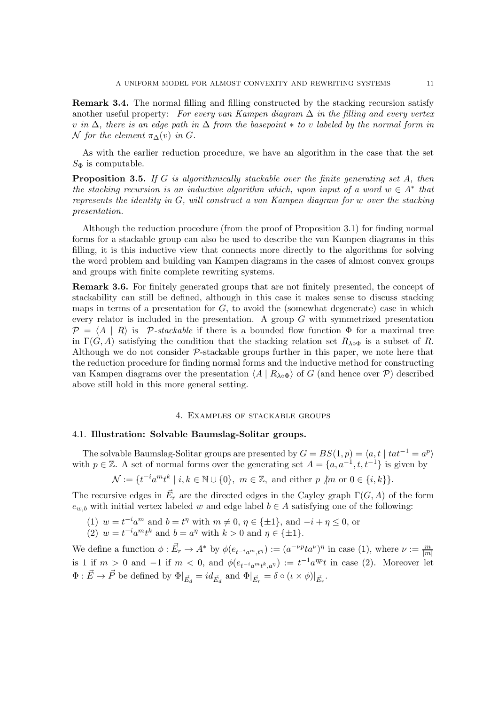Remark 3.4. The normal filling and filling constructed by the stacking recursion satisfy another useful property: *For every van Kampen diagram* ∆ *in the filling and every vertex* v *in* ∆*, there is an edge path in* ∆ *from the basepoint* ∗ *to* v *labeled by the normal form in*  $\mathcal N$  *for the element*  $\pi_{\Delta}(v)$  *in*  $G$ *.* 

As with the earlier reduction procedure, we have an algorithm in the case that the set  $S_{\Phi}$  is computable.

Proposition 3.5. *If* G *is algorithmically stackable over the finite generating set* A*, then the stacking recursion is an inductive algorithm which, upon input of a word*  $w \in A^*$  *that represents the identity in* G*, will construct a van Kampen diagram for* w *over the stacking presentation.*

Although the reduction procedure (from the proof of Proposition 3.1) for finding normal forms for a stackable group can also be used to describe the van Kampen diagrams in this filling, it is this inductive view that connects more directly to the algorithms for solving the word problem and building van Kampen diagrams in the cases of almost convex groups and groups with finite complete rewriting systems.

Remark 3.6. For finitely generated groups that are not finitely presented, the concept of stackability can still be defined, although in this case it makes sense to discuss stacking maps in terms of a presentation for  $G$ , to avoid the (somewhat degenerate) case in which every relator is included in the presentation. A group  $G$  with symmetrized presentation  $\mathcal{P} = \langle A | R \rangle$  is P-stackable if there is a bounded flow function  $\Phi$  for a maximal tree in  $\Gamma(G, A)$  satisfying the condition that the stacking relation set  $R_{\lambda \circ \Phi}$  is a subset of R. Although we do not consider  $P$ -stackable groups further in this paper, we note here that the reduction procedure for finding normal forms and the inductive method for constructing van Kampen diagrams over the presentation  $\langle A | R_{\lambda \circ \Phi} \rangle$  of G (and hence over P) described above still hold in this more general setting.

### 4. Examples of stackable groups

### 4.1. Illustration: Solvable Baumslag-Solitar groups.

The solvable Baumslag-Solitar groups are presented by  $G = BS(1, p) = \langle a, t \mid tat^{-1} = a^p \rangle$ with  $p \in \mathbb{Z}$ . A set of normal forms over the generating set  $A = \{a, a^{-1}, t, t^{-1}\}\$ is given by

$$
\mathcal{N} := \{ t^{-i} a^m t^k \mid i, k \in \mathbb{N} \cup \{0\}, \ m \in \mathbb{Z}, \text{ and either } p \not| m \text{ or } 0 \in \{i, k\} \}.
$$

The recursive edges in  $\vec{E_r}$  are the directed edges in the Cayley graph  $\Gamma(G, A)$  of the form  $e_{w,b}$  with initial vertex labeled w and edge label  $b \in A$  satisfying one of the following:

(1)  $w = t^{-i}a^m$  and  $b = t^{\eta}$  with  $m \neq 0$ ,  $\eta \in {\pm 1}$ , and  $-i + \eta \leq 0$ , or (2)  $w = t^{-i} a^m t^k$  and  $b = a^{\eta}$  with  $k > 0$  and  $\eta \in {\pm 1}$ .

We define a function  $\phi : \vec{E}_r \to A^*$  by  $\phi(e_{t^{-i}a^m,t^n}) := (a^{-\nu p}ta^{\nu})^{\eta}$  in case (1), where  $\nu := \frac{m}{|m|}$ is 1 if  $m > 0$  and  $-1$  if  $m < 0$ , and  $\phi(e_{t^{-i}a^{m}t^{k},a^{n}}) := t^{-1}a^{np}t$  in case (2). Moreover let  $\Phi: \vec{E} \to \vec{P}$  be defined by  $\Phi|_{\vec{E}_d} = id_{\vec{E}_d}$  and  $\Phi|_{\vec{E}_r} = \delta \circ (\iota \times \phi)|_{\vec{E}_r}$ .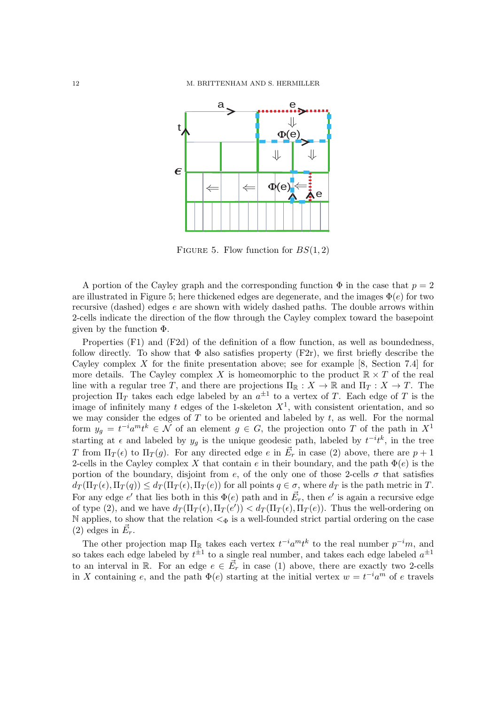

FIGURE 5. Flow function for  $BS(1, 2)$ 

A portion of the Cayley graph and the corresponding function  $\Phi$  in the case that  $p = 2$ are illustrated in Figure 5; here thickened edges are degenerate, and the images  $\Phi(e)$  for two recursive (dashed) edges e are shown with widely dashed paths. The double arrows within 2-cells indicate the direction of the flow through the Cayley complex toward the basepoint given by the function Φ.

Properties (F1) and (F2d) of the definition of a flow function, as well as boundedness, follow directly. To show that  $\Phi$  also satisfies property (F2r), we first briefly describe the Cayley complex X for the finite presentation above; see for example [8, Section 7.4] for more details. The Cayley complex X is homeomorphic to the product  $\mathbb{R} \times T$  of the real line with a regular tree T, and there are projections  $\Pi_{\mathbb{R}} : X \to \mathbb{R}$  and  $\Pi_T : X \to T$ . The projection  $\Pi_T$  takes each edge labeled by an  $a^{\pm 1}$  to a vertex of T. Each edge of T is the image of infinitely many t edges of the 1-skeleton  $X<sup>1</sup>$ , with consistent orientation, and so we may consider the edges of  $T$  to be oriented and labeled by  $t$ , as well. For the normal form  $y_g = t^{-i}a^m t^k \in \mathcal{N}$  of an element  $g \in G$ , the projection onto T of the path in  $X^1$ starting at  $\epsilon$  and labeled by  $y_g$  is the unique geodesic path, labeled by  $t^{-i}t^k$ , in the tree T from  $\Pi_T(\epsilon)$  to  $\Pi_T(g)$ . For any directed edge e in  $\vec{E}_r$  in case (2) above, there are  $p+1$ 2-cells in the Cayley complex X that contain e in their boundary, and the path  $\Phi(e)$  is the portion of the boundary, disjoint from e, of the only one of those 2-cells  $\sigma$  that satisfies  $d_T(\Pi_T(\epsilon), \Pi_T(q)) \leq d_T(\Pi_T(\epsilon), \Pi_T(e))$  for all points  $q \in \sigma$ , where  $d_T$  is the path metric in T. For any edge  $e'$  that lies both in this  $\Phi(e)$  path and in  $\vec{E}_r$ , then  $e'$  is again a recursive edge of type (2), and we have  $d_T(\Pi_T(\epsilon), \Pi_T(e')) < d_T(\Pi_T(\epsilon), \Pi_T(e))$ . Thus the well-ordering on N applies, to show that the relation  $\lt_{\Phi}$  is a well-founded strict partial ordering on the case (2) edges in  $\vec{E}_r$ .

The other projection map  $\Pi_{\mathbb{R}}$  takes each vertex  $t^{-i}a^mt^k$  to the real number  $p^{-i}m$ , and so takes each edge labeled by  $t^{\pm 1}$  to a single real number, and takes each edge labeled  $a^{\pm 1}$ to an interval in R. For an edge  $e \in \vec{E}_r$  in case (1) above, there are exactly two 2-cells in X containing e, and the path  $\Phi(e)$  starting at the initial vertex  $w = t^{-i}a^m$  of e travels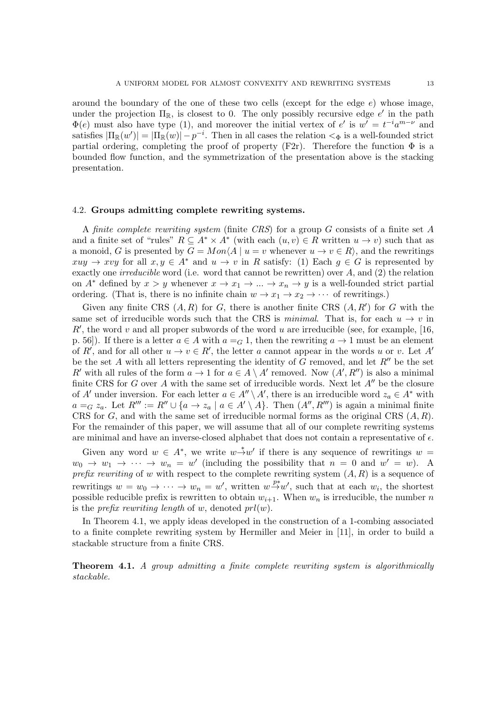around the boundary of the one of these two cells (except for the edge  $e$ ) whose image, under the projection  $\Pi_{\mathbb{R}}$ , is closest to 0. The only possibly recursive edge  $e'$  in the path  $\Phi(e)$  must also have type (1), and moreover the initial vertex of e' is  $w' = t^{-i}a^{m-\nu}$  and satisfies  $|\Pi_{\mathbb{R}}(w')| = |\Pi_{\mathbb{R}}(w)| - p^{-i}$ . Then in all cases the relation  $\lt_{\Phi}$  is a well-founded strict partial ordering, completing the proof of property (F2r). Therefore the function  $\Phi$  is a bounded flow function, and the symmetrization of the presentation above is the stacking presentation.

### 4.2. Groups admitting complete rewriting systems.

A *finite complete rewriting system* (finite *CRS*) for a group G consists of a finite set A and a finite set of "rules"  $R \subseteq A^* \times A^*$  (with each  $(u, v) \in R$  written  $u \to v$ ) such that as a monoid, G is presented by  $G = Mon(A \mid u = v$  whenever  $u \to v \in R$ , and the rewritings  $xuy \to xvy$  for all  $x, y \in A^*$  and  $u \to v$  in R satisfy: (1) Each  $q \in G$  is represented by exactly one *irreducible* word (i.e. word that cannot be rewritten) over A, and (2) the relation on  $A^*$  defined by  $x > y$  whenever  $x \to x_1 \to \dots \to x_n \to y$  is a well-founded strict partial ordering. (That is, there is no infinite chain  $w \to x_1 \to x_2 \to \cdots$  of rewritings.)

Given any finite CRS  $(A, R)$  for G, there is another finite CRS  $(A, R')$  for G with the same set of irreducible words such that the CRS is *minimal*. That is, for each  $u \to v$  in  $R'$ , the word v and all proper subwords of the word u are irreducible (see, for example, [16, p. 56]). If there is a letter  $a \in A$  with  $a = G 1$ , then the rewriting  $a \to 1$  must be an element of R', and for all other  $u \to v \in R'$ , the letter a cannot appear in the words u or v. Let A' be the set A with all letters representing the identity of G removed, and let  $R''$  be the set R' with all rules of the form  $a \to 1$  for  $a \in A \setminus A'$  removed. Now  $(A', R'')$  is also a minimal finite CRS for G over A with the same set of irreducible words. Next let  $A''$  be the closure of A' under inversion. For each letter  $a \in A'' \setminus A'$ , there is an irreducible word  $z_a \in A^*$  with  $a =_G z_a$ . Let  $R''' := R'' \cup \{a \to z_a \mid a \in A' \setminus A\}$ . Then  $(A'', R''')$  is again a minimal finite CRS for  $G$ , and with the same set of irreducible normal forms as the original CRS  $(A, R)$ . For the remainder of this paper, we will assume that all of our complete rewriting systems are minimal and have an inverse-closed alphabet that does not contain a representative of  $\epsilon$ .

Given any word  $w \in A^*$ , we write  $w \stackrel{*}{\rightarrow} w'$  if there is any sequence of rewritings  $w =$  $w_0 \to w_1 \to \cdots \to w_n = w'$  (including the possibility that  $n = 0$  and  $w' = w$ ). A *prefix rewriting* of w with respect to the complete rewriting system  $(A, R)$  is a sequence of rewritings  $w = w_0 \to \cdots \to w_n = w'$ , written  $w \stackrel{p*}{\to} w'$ , such that at each  $w_i$ , the shortest possible reducible prefix is rewritten to obtain  $w_{i+1}$ . When  $w_n$  is irreducible, the number n is the *prefix rewriting length* of w, denoted  $prl(w)$ .

In Theorem 4.1, we apply ideas developed in the construction of a 1-combing associated to a finite complete rewriting system by Hermiller and Meier in [11], in order to build a stackable structure from a finite CRS.

Theorem 4.1. *A group admitting a finite complete rewriting system is algorithmically stackable.*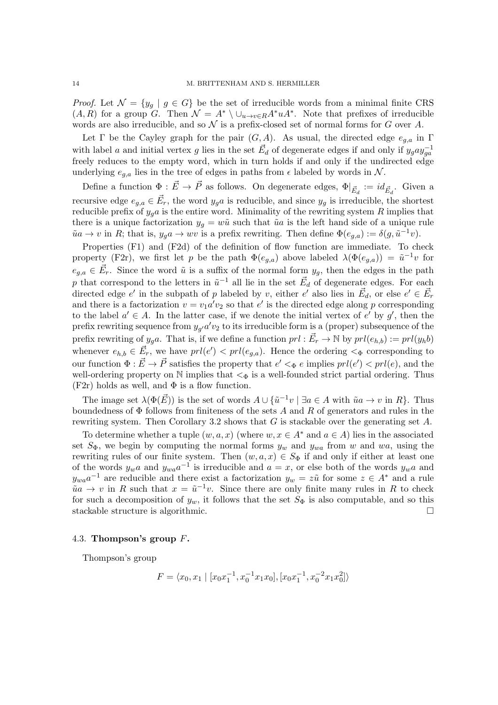*Proof.* Let  $\mathcal{N} = \{y_g \mid g \in G\}$  be the set of irreducible words from a minimal finite CRS  $(A, R)$  for a group G. Then  $\mathcal{N} = A^* \setminus \cup_{u \to v \in R} A^* u A^*$ . Note that prefixes of irreducible words are also irreducible, and so  $\mathcal N$  is a prefix-closed set of normal forms for G over A.

Let Γ be the Cayley graph for the pair  $(G, A)$ . As usual, the directed edge  $e_{g,a}$  in Γ with label a and initial vertex g lies in the set  $\vec{E}_d$  of degenerate edges if and only if  $y_g a y_{ga}^{-1}$ freely reduces to the empty word, which in turn holds if and only if the undirected edge underlying  $e_{g,a}$  lies in the tree of edges in paths from  $\epsilon$  labeled by words in  $\mathcal{N}$ .

Define a function  $\Phi: \vec{E} \to \vec{P}$  as follows. On degenerate edges,  $\Phi|_{\vec{E}_d} := id_{\vec{E}_d}$ . Given a recursive edge  $e_{g,a} \in \vec{E}_r$ , the word  $y_g a$  is reducible, and since  $y_g$  is irreducible, the shortest reducible prefix of  $y_g a$  is the entire word. Minimality of the rewriting system R implies that there is a unique factorization  $y_g = w\tilde{u}$  such that  $\tilde{u}a$  is the left hand side of a unique rule  $\tilde{u}a \to v$  in R; that is,  $y_g a \to wv$  is a prefix rewriting. Then define  $\Phi(e_{g,a}) := \delta(g, \tilde{u}^{-1}v)$ .

Properties (F1) and (F2d) of the definition of flow function are immediate. To check property (F2r), we first let p be the path  $\Phi(e_{g,a})$  above labeled  $\lambda(\Phi(e_{g,a})) = \tilde{u}^{-1}v$  for  $e_{g,a} \in \vec{E}_r$ . Since the word  $\tilde{u}$  is a suffix of the normal form  $y_g$ , then the edges in the path p that correspond to the letters in  $\tilde{u}^{-1}$  all lie in the set  $\vec{E}_d$  of degenerate edges. For each directed edge  $e'$  in the subpath of p labeled by v, either  $e'$  also lies in  $\vec{E}_d$ , or else  $e' \in \vec{E}_r$ and there is a factorization  $v = v_1 a' v_2$  so that  $e'$  is the directed edge along p corresponding to the label  $a' \in A$ . In the latter case, if we denote the initial vertex of  $e'$  by  $g'$ , then the prefix rewriting sequence from  $y_{g'}a'v_2$  to its irreducible form is a (proper) subsequence of the prefix rewriting of  $y_g a$ . That is, if we define a function  $prl : \vec{E}_r \to \mathbb{N}$  by  $prl(e_{h,b}) := prl(y_h b)$ whenever  $e_{h,b} \in \vec{E}_r$ , we have  $prl(e') < prl(e_{g,a})$ . Hence the ordering  $\lt_{\Phi}$  corresponding to our function  $\Phi : \vec{E} \to \vec{P}$  satisfies the property that  $e' <_{\Phi} e$  implies  $prl(e') < prl(e)$ , and the well-ordering property on  $\mathbb N$  implies that  $\lt_{\Phi}$  is a well-founded strict partial ordering. Thus  $(F2r)$  holds as well, and  $\Phi$  is a flow function.

The image set  $\lambda(\Phi(\vec{E}))$  is the set of words  $A \cup {\tilde{u}}^{-1}v \mid \exists a \in A$  with  $\tilde{u}a \to v$  in  $R$ . Thus boundedness of  $\Phi$  follows from finiteness of the sets A and R of generators and rules in the rewriting system. Then Corollary 3.2 shows that  $G$  is stackable over the generating set  $A$ .

To determine whether a tuple  $(w, a, x)$  (where  $w, x \in A^*$  and  $a \in A$ ) lies in the associated set  $S_{\Phi}$ , we begin by computing the normal forms  $y_w$  and  $y_{wa}$  from w and wa, using the rewriting rules of our finite system. Then  $(w, a, x) \in S_{\Phi}$  if and only if either at least one of the words  $y_w a$  and  $y_{wa} a^{-1}$  is irreducible and  $a = x$ , or else both of the words  $y_w a$  and  $y_{wa}a^{-1}$  are reducible and there exist a factorization  $y_w = z\tilde{u}$  for some  $z \in A^*$  and a rule  $\tilde{u}a \to v$  in R such that  $x = \tilde{u}^{-1}v$ . Since there are only finite many rules in R to check for such a decomposition of  $y_w$ , it follows that the set  $S_{\Phi}$  is also computable, and so this stackable structure is algorithmic.

## 4.3. Thompson's group F.

Thompson's group

$$
F = \langle x_0, x_1 \mid [x_0 x_1^{-1}, x_0^{-1} x_1 x_0], [x_0 x_1^{-1}, x_0^{-2} x_1 x_0^2] \rangle
$$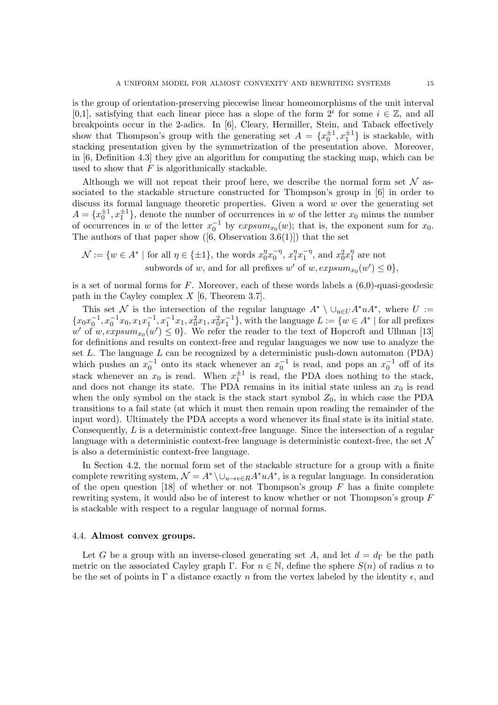is the group of orientation-preserving piecewise linear homeomorphisms of the unit interval [0,1], satisfying that each linear piece has a slope of the form  $2^i$  for some  $i \in \mathbb{Z}$ , and all breakpoints occur in the 2-adics. In [6], Cleary, Hermiller, Stein, and Taback effectively show that Thompson's group with the generating set  $A = \{x_0^{\pm 1}, x_1^{\pm 1}\}\$ is stackable, with stacking presentation given by the symmetrization of the presentation above. Moreover, in [6, Definition 4.3] they give an algorithm for computing the stacking map, which can be used to show that  $F$  is algorithmically stackable.

Although we will not repeat their proof here, we describe the normal form set  $\mathcal N$  associated to the stackable structure constructed for Thompson's group in [6] in order to discuss its formal language theoretic properties. Given a word  $w$  over the generating set  $A = \{x_0^{\pm 1}, x_1^{\pm 1}\},$  denote the number of occurrences in w of the letter  $x_0$  minus the number of occurrences in w of the letter  $x_0^{-1}$  by  $expsum_{x_0}(w)$ ; that is, the exponent sum for  $x_0$ . The authors of that paper show  $([6, \text{Observation } 3.6(1)])$  that the set

$$
\mathcal{N} := \{ w \in A^* \mid \text{for all } \eta \in \{\pm 1\}, \text{ the words } x_0^{\eta} x_0^{-\eta}, x_1^{\eta} x_1^{-\eta}, \text{ and } x_0^2 x_1^{\eta} \text{ are not subwords of } w, \text{ and for all prefixes } w' \text{ of } w, \text{expsum}_{x_0}(w') \leq 0 \},
$$

is a set of normal forms for  $F$ . Moreover, each of these words labels a  $(6,0)$ -quasi-geodesic path in the Cayley complex  $X$  [6, Theorem 3.7].

This set N is the intersection of the regular language  $A^* \setminus \cup_{u \in U} A^* u A^*$ , where  $U :=$  ${x_0x_0^{-1}, x_0^{-1}x_0, x_1x_1^{-1}, x_1^{-1}x_1, x_0^2x_1, x_0^2x_1^{-1}}$ , with the language  $L := \{w \in A^* \mid \text{for all prefixes}\}$ w' of  $w, \text{expsum}_{x_0}(w') \leq 0$ . We refer the reader to the text of Hopcroft and Ullman [13] for definitions and results on context-free and regular languages we now use to analyze the set  $L$ . The language  $L$  can be recognized by a deterministic push-down automaton (PDA) which pushes an  $x_0^{-1}$  onto its stack whenever an  $x_0^{-1}$  is read, and pops an  $x_0^{-1}$  off of its stack whenever an  $x_0$  is read. When  $x_1^{\pm 1}$  is read, the PDA does nothing to the stack, and does not change its state. The PDA remains in its initial state unless an  $x_0$  is read when the only symbol on the stack is the stack start symbol  $Z_0$ , in which case the PDA transitions to a fail state (at which it must then remain upon reading the remainder of the input word). Ultimately the PDA accepts a word whenever its final state is its initial state. Consequently, L is a deterministic context-free language. Since the intersection of a regular language with a deterministic context-free language is deterministic context-free, the set  $\mathcal N$ is also a deterministic context-free language.

In Section 4.2, the normal form set of the stackable structure for a group with a finite complete rewriting system,  $\mathcal{N} = A^* \setminus \cup_{u \to v \in R} A^* u A^*$ , is a regular language. In consideration of the open question [18] of whether or not Thompson's group  $F$  has a finite complete rewriting system, it would also be of interest to know whether or not Thompson's group F is stackable with respect to a regular language of normal forms.

## 4.4. Almost convex groups.

Let G be a group with an inverse-closed generating set A, and let  $d = d_{\Gamma}$  be the path metric on the associated Cayley graph Γ. For  $n \in \mathbb{N}$ , define the sphere  $S(n)$  of radius n to be the set of points in  $\Gamma$  a distance exactly n from the vertex labeled by the identity  $\epsilon$ , and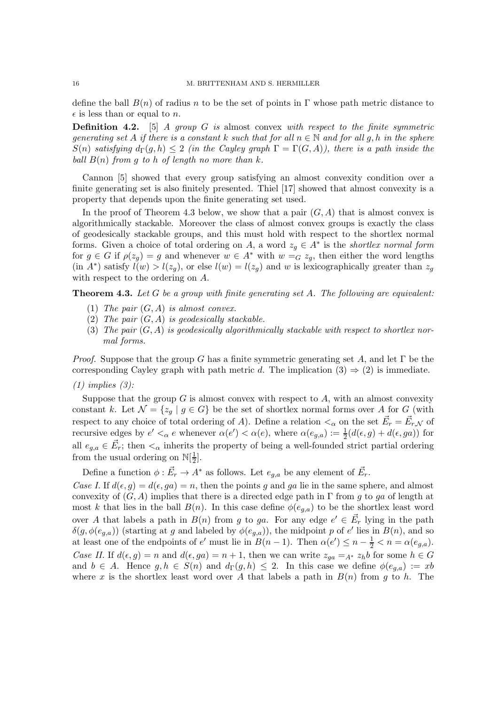define the ball  $B(n)$  of radius n to be the set of points in Γ whose path metric distance to  $\epsilon$  is less than or equal to *n*.

Definition 4.2. [5] *A group* G *is* almost convex *with respect to the finite symmetric generating set* A *if there is a constant* k *such that for all*  $n \in \mathbb{N}$  *and for all* g, h *in the sphere*  $S(n)$  *satisfying*  $d_{\Gamma}(q, h) \leq 2$  *(in the Cayley graph*  $\Gamma = \Gamma(G, A)$ *), there is a path inside the ball*  $B(n)$  *from* g *to* h *of length no more than* k.

Cannon [5] showed that every group satisfying an almost convexity condition over a finite generating set is also finitely presented. Thiel [17] showed that almost convexity is a property that depends upon the finite generating set used.

In the proof of Theorem 4.3 below, we show that a pair  $(G, A)$  that is almost convex is algorithmically stackable. Moreover the class of almost convex groups is exactly the class of geodesically stackable groups, and this must hold with respect to the shortlex normal forms. Given a choice of total ordering on A, a word  $z_g \in A^*$  is the *shortlex normal form* for  $g \in G$  if  $\rho(z_q) = g$  and whenever  $w \in A^*$  with  $w = G z_q$ , then either the word lengths (in  $A^*$ ) satisfy  $l(w) > l(z_g)$ , or else  $l(w) = l(z_g)$  and w is lexicographically greater than  $z_g$ with respect to the ordering on A.

Theorem 4.3. *Let* G *be a group with finite generating set* A*. The following are equivalent:*

- (1) *The pair* (G, A) *is almost convex.*
- (2) *The pair* (G, A) *is geodesically stackable.*
- (3) *The pair* (G, A) *is geodesically algorithmically stackable with respect to shortlex normal forms.*

*Proof.* Suppose that the group G has a finite symmetric generating set A, and let  $\Gamma$  be the corresponding Cayley graph with path metric d. The implication  $(3) \Rightarrow (2)$  is immediate.

#### *(1) implies (3):*

Suppose that the group  $G$  is almost convex with respect to  $A$ , with an almost convexity constant k. Let  $\mathcal{N} = \{z_q | g \in G\}$  be the set of shortlex normal forms over A for G (with respect to any choice of total ordering of A). Define a relation  $\lt_{\alpha}$  on the set  $\vec{E}_r = \vec{E}_{r,\mathcal{N}}$  of recursive edges by  $e' <_{\alpha} e$  whenever  $\alpha(e') < \alpha(e)$ , where  $\alpha(e_{g,a}) := \frac{1}{2}(d(\epsilon, g) + d(\epsilon, ga))$  for all  $e_{g,a} \in \vec{E}_r$ ; then  $\lt_{\alpha}$  inherits the property of being a well-founded strict partial ordering from the usual ordering on  $\mathbb{N}[\frac{1}{2}]$  $\frac{1}{2}$ .

Define a function  $\phi : \vec{E}_r \to A^*$  as follows. Let  $e_{g,a}$  be any element of  $\vec{E}_r$ .

*Case I.* If  $d(\epsilon, q) = d(\epsilon, qa) = n$ , then the points g and ga lie in the same sphere, and almost convexity of  $(G, A)$  implies that there is a directed edge path in Γ from g to ga of length at most k that lies in the ball  $B(n)$ . In this case define  $\phi(e_{a,a})$  to be the shortlex least word over A that labels a path in  $B(n)$  from g to ga. For any edge  $e' \in \vec{E}_r$  lying in the path  $\delta(g, \phi(e_{g,a}))$  (starting at g and labeled by  $\phi(e_{g,a})$ ), the midpoint p of e' lies in  $B(n)$ , and so at least one of the endpoints of  $e'$  must lie in  $B(n-1)$ . Then  $\alpha(e') \leq n - \frac{1}{2} < n = \alpha(e_{g,a})$ . *Case II.* If  $d(\epsilon, g) = n$  and  $d(\epsilon, ga) = n + 1$ , then we can write  $z_{aa} = A * z_h b$  for some  $h \in G$ and  $b \in A$ . Hence  $g, h \in S(n)$  and  $d_{\Gamma}(g, h) \leq 2$ . In this case we define  $\phi(e_{q,a}) := xb$ where x is the shortlex least word over A that labels a path in  $B(n)$  from g to h. The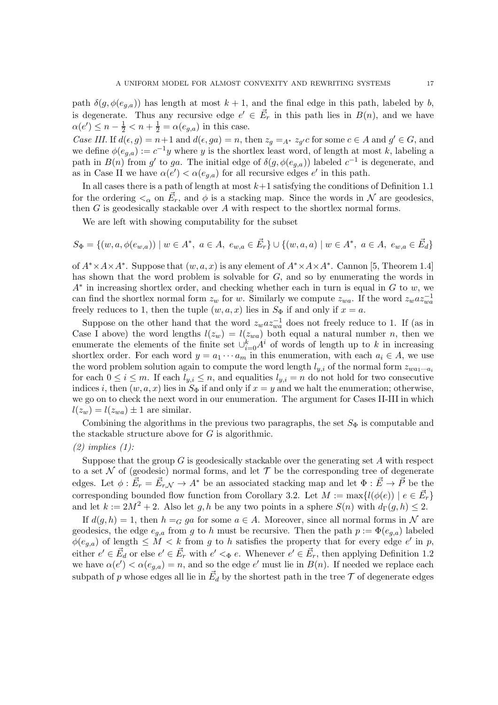path  $\delta(g, \phi(e_{g,a}))$  has length at most  $k + 1$ , and the final edge in this path, labeled by b, is degenerate. Thus any recursive edge  $e' \in \vec{E}_r$  in this path lies in  $B(n)$ , and we have  $\alpha(e') \leq n - \frac{1}{2} < n + \frac{1}{2} = \alpha(e_{g,a})$  in this case.

*Case III.* If  $d(\epsilon, g) = n+1$  and  $d(\epsilon, ga) = n$ , then  $z_g =_{A^*} z_{g'} c$  for some  $c \in A$  and  $g' \in G$ , and we define  $\phi(e_{g,a}) := c^{-1}y$  where y is the shortlex least word, of length at most k, labeling a path in  $B(n)$  from g' to ga. The initial edge of  $\delta(g, \phi(e_{g,a}))$  labeled  $c^{-1}$  is degenerate, and as in Case II we have  $\alpha(e') < \alpha(e_{g,a})$  for all recursive edges  $e'$  in this path.

In all cases there is a path of length at most  $k+1$  satisfying the conditions of Definition 1.1 for the ordering  $\lt_{\alpha}$  on  $\vec{E}_r$ , and  $\phi$  is a stacking map. Since the words in N are geodesics, then G is geodesically stackable over A with respect to the shortlex normal forms.

We are left with showing computability for the subset

$$
S_{\Phi} = \{ (w, a, \phi(e_{w,a})) \mid w \in A^*, \ a \in A, \ e_{w,a} \in \vec{E}_r \} \cup \{ (w, a, a) \mid w \in A^*, \ a \in A, \ e_{w,a} \in \vec{E}_d \}
$$

of  $A^* \times A \times A^*$ . Suppose that  $(w, a, x)$  is any element of  $A^* \times A \times A^*$ . Cannon [5, Theorem 1.4] has shown that the word problem is solvable for G, and so by enumerating the words in  $A^*$  in increasing shortlex order, and checking whether each in turn is equal in  $G$  to  $w$ , we can find the shortlex normal form  $z_w$  for w. Similarly we compute  $z_{wa}$ . If the word  $z_w a z_{wa}^{-1}$ freely reduces to 1, then the tuple  $(w, a, x)$  lies in  $S_{\Phi}$  if and only if  $x = a$ .

Suppose on the other hand that the word  $z_w a z_{wa}^{-1}$  does not freely reduce to 1. If (as in Case I above) the word lengths  $l(z_w) = l(z_{wa})$  both equal a natural number n, then we enumerate the elements of the finite set  $\cup_{i=0}^{k} A^{i}$  of words of length up to k in increasing shortlex order. For each word  $y = a_1 \cdots a_m$  in this enumeration, with each  $a_i \in A$ , we use the word problem solution again to compute the word length  $l_{y,i}$  of the normal form  $z_{wa_1\cdots a_i}$ for each  $0 \le i \le m$ . If each  $l_{y,i} \le n$ , and equalities  $l_{y,i} = n$  do not hold for two consecutive indices i, then  $(w, a, x)$  lies in  $S_{\Phi}$  if and only if  $x = y$  and we halt the enumeration; otherwise, we go on to check the next word in our enumeration. The argument for Cases II-III in which  $l(z_w) = l(z_{wa}) \pm 1$  are similar.

Combining the algorithms in the previous two paragraphs, the set  $S_{\Phi}$  is computable and the stackable structure above for  $G$  is algorithmic.

## *(2) implies (1):*

Suppose that the group G is geodesically stackable over the generating set A with respect to a set  $\mathcal N$  of (geodesic) normal forms, and let  $\mathcal T$  be the corresponding tree of degenerate edges. Let  $\phi: \vec{E}_r = \vec{E}_{r,\mathcal{N}} \to A^*$  be an associated stacking map and let  $\Phi: \vec{E} \to \vec{P}$  be the corresponding bounded flow function from Corollary 3.2. Let  $M := \max\{l(\phi(e)) \mid e \in \vec{E}_r\}$ and let  $k := 2M^2 + 2$ . Also let g, h be any two points in a sphere  $S(n)$  with  $d_{\Gamma}(g, h) \leq 2$ .

If  $d(g, h) = 1$ , then  $h =_G g a$  for some  $a \in A$ . Moreover, since all normal forms in N are geodesics, the edge  $e_{g,a}$  from g to h must be recursive. Then the path  $p := \Phi(e_{g,a})$  labeled  $\phi(e_{g,a})$  of length  $\leq M < k$  from g to h satisfies the property that for every edge e' in p, either  $e' \in \vec{E}_d$  or else  $e' \in \vec{E}_r$  with  $e' <_{\Phi} e$ . Whenever  $e' \in \vec{E}_r$ , then applying Definition 1.2 we have  $\alpha(e') < \alpha(e_{g,a}) = n$ , and so the edge e' must lie in  $B(n)$ . If needed we replace each subpath of p whose edges all lie in  $\vec{E_d}$  by the shortest path in the tree  $\mathcal T$  of degenerate edges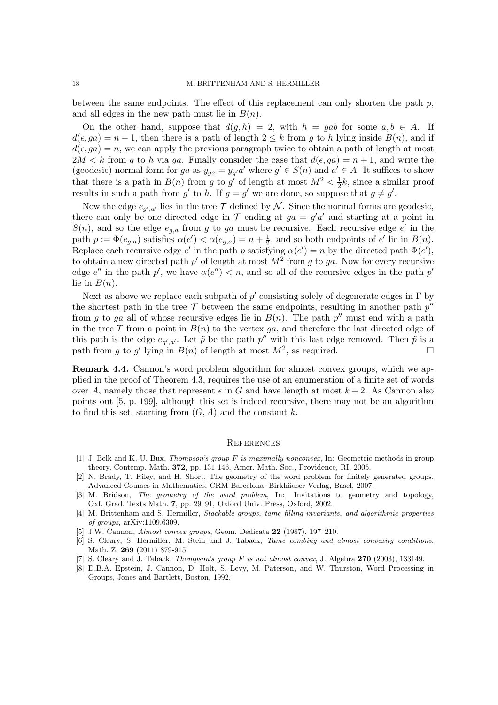between the same endpoints. The effect of this replacement can only shorten the path  $p$ , and all edges in the new path must lie in  $B(n)$ .

On the other hand, suppose that  $d(g, h) = 2$ , with  $h = gab$  for some  $a, b \in A$ . If  $d(\epsilon, ga) = n-1$ , then there is a path of length  $2 \leq k$  from g to h lying inside  $B(n)$ , and if  $d(\epsilon, ga) = n$ , we can apply the previous paragraph twice to obtain a path of length at most  $2M < k$  from g to h via ga. Finally consider the case that  $d(\epsilon, ga) = n + 1$ , and write the (geodesic) normal form for ga as  $y_{ga} = y_{g'}a'$  where  $g' \in S(n)$  and  $a' \in A$ . It suffices to show that there is a path in  $B(n)$  from g to g' of length at most  $M^2 < \frac{1}{2}$  $\frac{1}{2}k$ , since a similar proof results in such a path from  $g'$  to h. If  $g = g'$  we are done, so suppose that  $g \neq g'$ .

Now the edge  $e_{g',a'}$  lies in the tree  $\mathcal T$  defined by  $\mathcal N$ . Since the normal forms are geodesic, there can only be one directed edge in  $\mathcal T$  ending at  $ga = g'a'$  and starting at a point in  $S(n)$ , and so the edge  $e_{g,a}$  from g to ga must be recursive. Each recursive edge e' in the path  $p := \Phi(e_{g,a})$  satisfies  $\alpha(e') < \alpha(e_{g,a}) = n + \frac{1}{2}$ , and so both endpoints of  $e'$  lie in  $B(n)$ . Replace each recursive edge e' in the path p satisfying  $\alpha(e') = n$  by the directed path  $\Phi(e')$ , to obtain a new directed path  $p'$  of length at most  $M^2$  from g to ga. Now for every recursive edge  $e''$  in the path  $p'$ , we have  $\alpha(e'') < n$ , and so all of the recursive edges in the path  $p'$ lie in  $B(n)$ .

Next as above we replace each subpath of  $p'$  consisting solely of degenerate edges in  $\Gamma$  by the shortest path in the tree  $\mathcal T$  between the same endpoints, resulting in another path  $p''$ from g to ga all of whose recursive edges lie in  $B(n)$ . The path  $p''$  must end with a path in the tree T from a point in  $B(n)$  to the vertex ga, and therefore the last directed edge of this path is the edge  $e_{g',a'}$ . Let  $\tilde{p}$  be the path  $p''$  with this last edge removed. Then  $\tilde{p}$  is a path from g to g' lying in  $B(n)$  of length at most  $M^2$ , as required.

Remark 4.4. Cannon's word problem algorithm for almost convex groups, which we applied in the proof of Theorem 4.3, requires the use of an enumeration of a finite set of words over A, namely those that represent  $\epsilon$  in G and have length at most  $k + 2$ . As Cannon also points out [5, p. 199], although this set is indeed recursive, there may not be an algorithm to find this set, starting from  $(G, A)$  and the constant k.

#### **REFERENCES**

- [1] J. Belk and K.-U. Bux, Thompson's group F is maximally nonconvex, In: Geometric methods in group theory, Contemp. Math. 372, pp. 131-146, Amer. Math. Soc., Providence, RI, 2005.
- [2] N. Brady, T. Riley, and H. Short, The geometry of the word problem for finitely generated groups, Advanced Courses in Mathematics, CRM Barcelona, Birkhäuser Verlag, Basel, 2007.
- [3] M. Bridson, The geometry of the word problem, In: Invitations to geometry and topology, Oxf. Grad. Texts Math. 7, pp. 29–91, Oxford Univ. Press, Oxford, 2002.
- [4] M. Brittenham and S. Hermiller, Stackable groups, tame filling invariants, and algorithmic properties of groups, arXiv:1109.6309.
- [5] J.W. Cannon, Almost convex groups, Geom. Dedicata 22 (1987), 197–210.
- [6] S. Cleary, S. Hermiller, M. Stein and J. Taback, Tame combing and almost convexity conditions, Math. Z. 269 (2011) 879-915.
- [7] S. Cleary and J. Taback, *Thompson's group F is not almost convex*, J. Algebra 270 (2003), 133149.
- [8] D.B.A. Epstein, J. Cannon, D. Holt, S. Levy, M. Paterson, and W. Thurston, Word Processing in Groups, Jones and Bartlett, Boston, 1992.